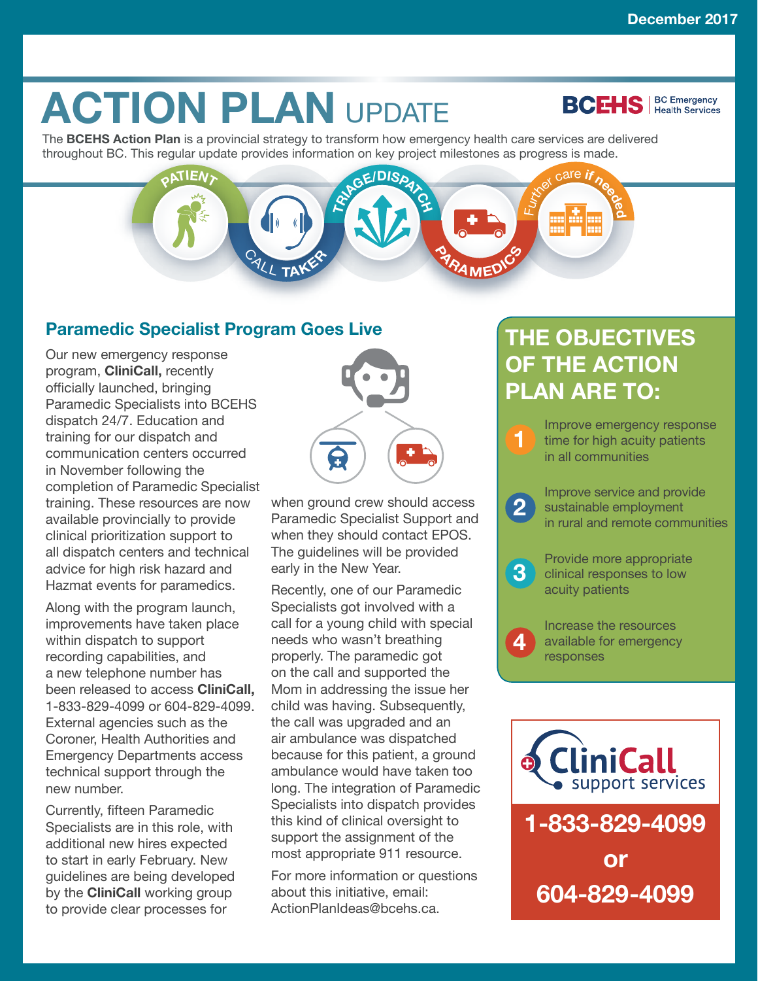**BCEHS** | BC Emergency

# **ACTION PLAN UPDATE**

The **BCEHS Action Plan** is a provincial strategy to transform how emergency health care services are delivered throughout BC. This regular update provides information on key project milestones as progress is made.



### **Paramedic Specialist Program Goes Live**

Our new emergency response program, **CliniCall,** recently officially launched, bringing Paramedic Specialists into BCEHS dispatch 24/7. Education and training for our dispatch and communication centers occurred in November following the completion of Paramedic Specialist training. These resources are now available provincially to provide clinical prioritization support to all dispatch centers and technical advice for high risk hazard and Hazmat events for paramedics.

Along with the program launch, improvements have taken place within dispatch to support recording capabilities, and a new telephone number has been released to access **CliniCall,** 1-833-829-4099 or 604-829-4099. External agencies such as the Coroner, Health Authorities and Emergency Departments access technical support through the new number.

Currently, fifteen Paramedic Specialists are in this role, with additional new hires expected to start in early February. New guidelines are being developed by the **CliniCall** working group to provide clear processes for



when ground crew should access Paramedic Specialist Support and when they should contact EPOS. The guidelines will be provided early in the New Year.

Recently, one of our Paramedic Specialists got involved with a call for a young child with special needs who wasn't breathing properly. The paramedic got on the call and supported the Mom in addressing the issue her child was having. Subsequently, the call was upgraded and an air ambulance was dispatched because for this patient, a ground ambulance would have taken too long. The integration of Paramedic Specialists into dispatch provides this kind of clinical oversight to support the assignment of the most appropriate 911 resource.

For more information or questions about this initiative, email: ActionPlanIdeas@bcehs.ca.

## **THE OBJECTIVES OF THE ACTION PLAN ARE TO:**

**1** Improve emergency response time for high acuity patients in all communities

**2** Improve service and provide<br>
sustainable employment<br>
in www.lead ware to community in rural and remote communities



**4**

**3** Provide more appropriate<br>
clinical responses to low acuity patients

> Increase the resources available for emergency responses

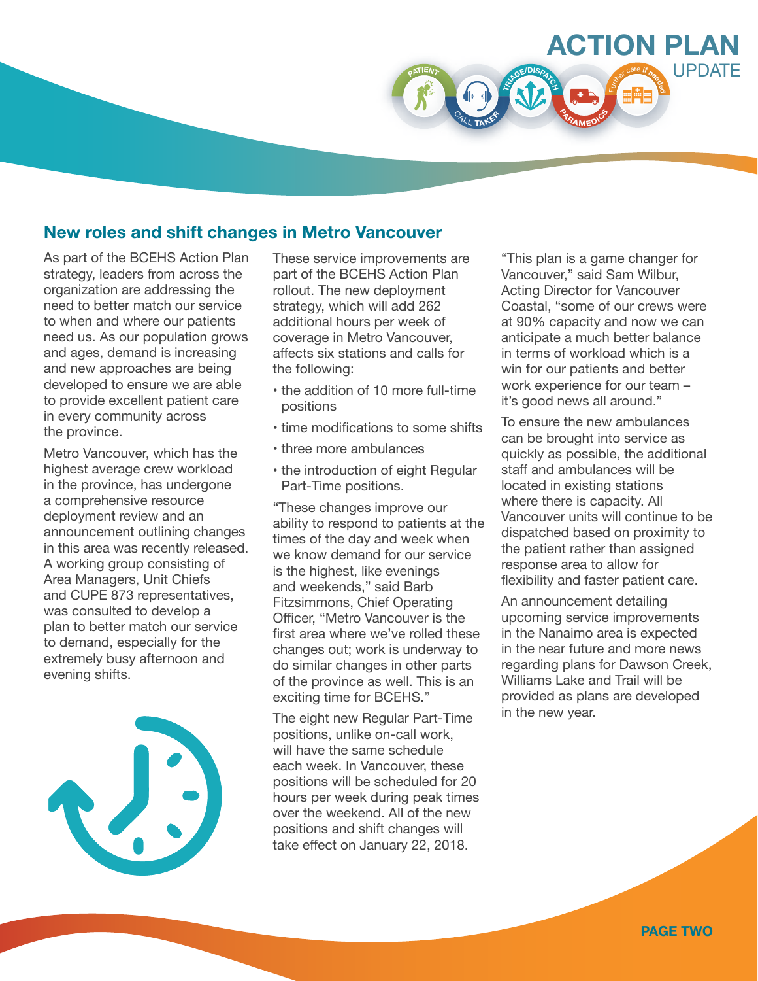

#### **New roles and shift changes in Metro Vancouver**

As part of the BCEHS Action Plan strategy, leaders from across the organization are addressing the need to better match our service to when and where our patients need us. As our population grows and ages, demand is increasing and new approaches are being developed to ensure we are able to provide excellent patient care in every community across the province.

Metro Vancouver, which has the highest average crew workload in the province, has undergone a comprehensive resource deployment review and an announcement outlining changes in this area was recently released. A working group consisting of Area Managers, Unit Chiefs and CUPE 873 representatives, was consulted to develop a plan to better match our service to demand, especially for the extremely busy afternoon and evening shifts.



These service improvements are part of the BCEHS Action Plan rollout. The new deployment strategy, which will add 262 additional hours per week of coverage in Metro Vancouver, affects six stations and calls for the following:

- the addition of 10 more full-time positions
- time modifications to some shifts
- three more ambulances
- the introduction of eight Regular Part-Time positions.

"These changes improve our ability to respond to patients at the times of the day and week when we know demand for our service is the highest, like evenings and weekends," said Barb Fitzsimmons, Chief Operating Officer, "Metro Vancouver is the first area where we've rolled these changes out; work is underway to do similar changes in other parts of the province as well. This is an exciting time for BCEHS."

The eight new Regular Part-Time positions, unlike on-call work, will have the same schedule each week. In Vancouver, these positions will be scheduled for 20 hours per week during peak times over the weekend. All of the new positions and shift changes will take effect on January 22, 2018.

"This plan is a game changer for Vancouver," said Sam Wilbur, Acting Director for Vancouver Coastal, "some of our crews were at 90% capacity and now we can anticipate a much better balance in terms of workload which is a win for our patients and better work experience for our team – it's good news all around."

To ensure the new ambulances can be brought into service as quickly as possible, the additional staff and ambulances will be located in existing stations where there is capacity. All Vancouver units will continue to be dispatched based on proximity to the patient rather than assigned response area to allow for flexibility and faster patient care.

An announcement detailing upcoming service improvements in the Nanaimo area is expected in the near future and more news regarding plans for Dawson Creek, Williams Lake and Trail will be provided as plans are developed in the new year.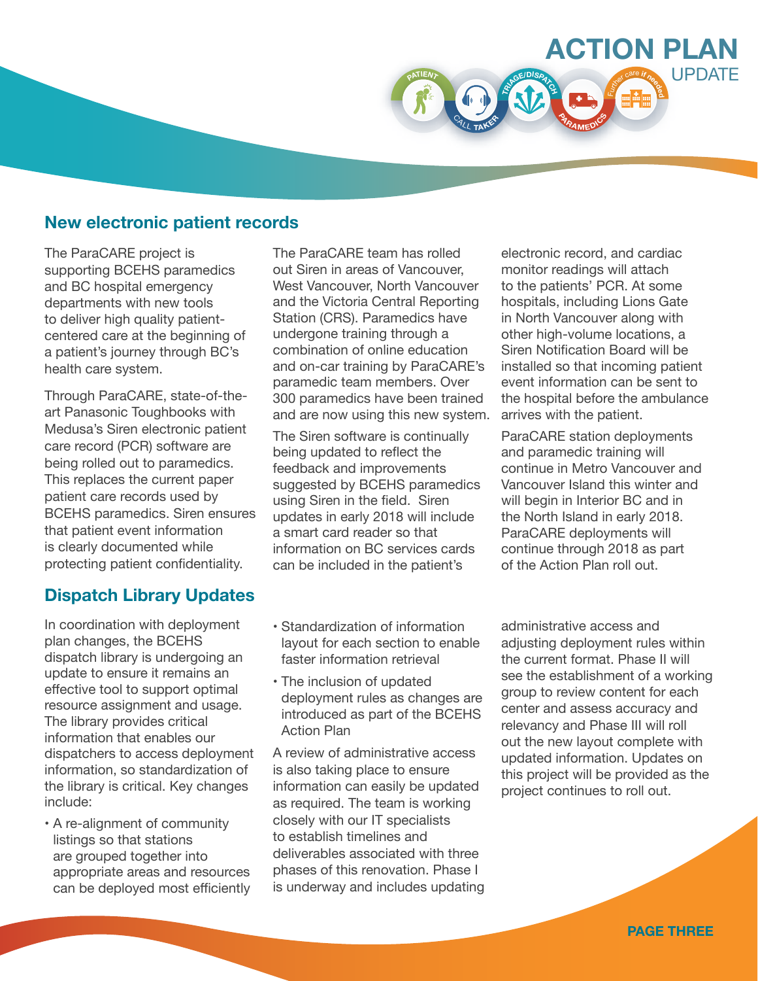

The ParaCARE project is supporting BCEHS paramedics and BC hospital emergency departments with new tools to deliver high quality patientcentered care at the beginning of a patient's journey through BC's health care system.

Through ParaCARE, state-of-theart Panasonic Toughbooks with Medusa's Siren electronic patient care record (PCR) software are being rolled out to paramedics. This replaces the current paper patient care records used by BCEHS paramedics. Siren ensures that patient event information is clearly documented while protecting patient confidentiality.

#### **Dispatch Library Updates**

In coordination with deployment plan changes, the BCEHS dispatch library is undergoing an update to ensure it remains an effective tool to support optimal resource assignment and usage. The library provides critical information that enables our dispatchers to access deployment information, so standardization of the library is critical. Key changes include:

• A re-alignment of community listings so that stations are grouped together into appropriate areas and resources can be deployed most efficiently The ParaCARE team has rolled out Siren in areas of Vancouver, West Vancouver, North Vancouver and the Victoria Central Reporting Station (CRS). Paramedics have undergone training through a combination of online education and on-car training by ParaCARE's paramedic team members. Over 300 paramedics have been trained and are now using this new system.

**<sup>P</sup>ATIEN<sup>T</sup>**

**TR<sup>I</sup>AGE/DISPATC<sup>H</sup>**

**<sup>P</sup>ARAMED<sup>I</sup>C<sup>S</sup>**

<sup>C</sup>AL<sup>L</sup> **<sup>T</sup>AKE<sup>R</sup>**

The Siren software is continually being updated to reflect the feedback and improvements suggested by BCEHS paramedics using Siren in the field. Siren updates in early 2018 will include a smart card reader so that information on BC services cards can be included in the patient's

- Standardization of information layout for each section to enable faster information retrieval
- The inclusion of updated deployment rules as changes are introduced as part of the BCEHS Action Plan

A review of administrative access is also taking place to ensure information can easily be updated as required. The team is working closely with our IT specialists to establish timelines and deliverables associated with three phases of this renovation. Phase I is underway and includes updating

electronic record, and cardiac monitor readings will attach to the patients' PCR. At some hospitals, including Lions Gate in North Vancouver along with other high-volume locations, a Siren Notification Board will be installed so that incoming patient event information can be sent to the hospital before the ambulance arrives with the patient.

**ACTION PLAN**

<sup>F</sup>urthe<sup>r</sup> <sup>c</sup>ar<sup>e</sup> **<sup>i</sup><sup>f</sup> <sup>n</sup>eede<sup>d</sup>**

**UPDATE** 

ParaCARE station deployments and paramedic training will continue in Metro Vancouver and Vancouver Island this winter and will begin in Interior BC and in the North Island in early 2018. ParaCARE deployments will continue through 2018 as part of the Action Plan roll out.

administrative access and adiusting deployment rules within the current format. Phase II will see the establishment of a working group to review content for each center and assess accuracy and relevancy and Phase III will roll out the new layout complete with updated information. Updates on this project will be provided as the project continues to roll out.